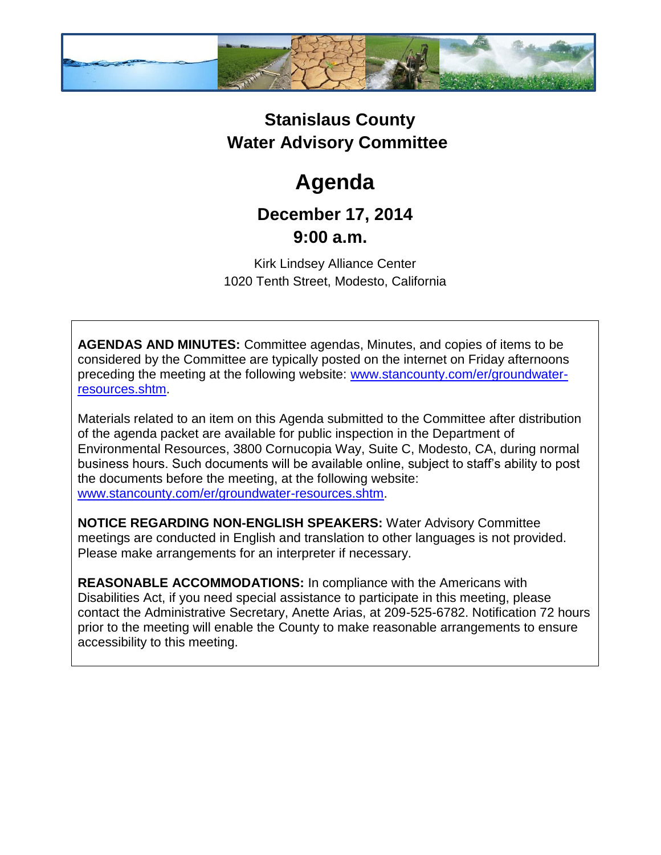

## **Stanislaus County Water Advisory Committee**

## **Agenda**

## **December 17, 2014 9:00 a.m.**

Kirk Lindsey Alliance Center 1020 Tenth Street, Modesto, California

**AGENDAS AND MINUTES:** Committee agendas, Minutes, and copies of items to be considered by the Committee are typically posted on the internet on Friday afternoons preceding the meeting at the following website: [www.stancounty.com/er/groundwater](http://www.stancounty.com/er/groundwater-resources.shtm)[resources.shtm.](http://www.stancounty.com/er/groundwater-resources.shtm)

Materials related to an item on this Agenda submitted to the Committee after distribution of the agenda packet are available for public inspection in the Department of Environmental Resources, 3800 Cornucopia Way, Suite C, Modesto, CA, during normal business hours. Such documents will be available online, subject to staff's ability to post the documents before the meeting, at the following website: [www.stancounty.com/er/groundwater-resources.shtm.](http://www.stancounty.com/er/groundwater-resources.shtm)

**NOTICE REGARDING NON-ENGLISH SPEAKERS:** Water Advisory Committee meetings are conducted in English and translation to other languages is not provided. Please make arrangements for an interpreter if necessary.

**REASONABLE ACCOMMODATIONS:** In compliance with the Americans with Disabilities Act, if you need special assistance to participate in this meeting, please contact the Administrative Secretary, Anette Arias, at 209-525-6782. Notification 72 hours prior to the meeting will enable the County to make reasonable arrangements to ensure accessibility to this meeting.